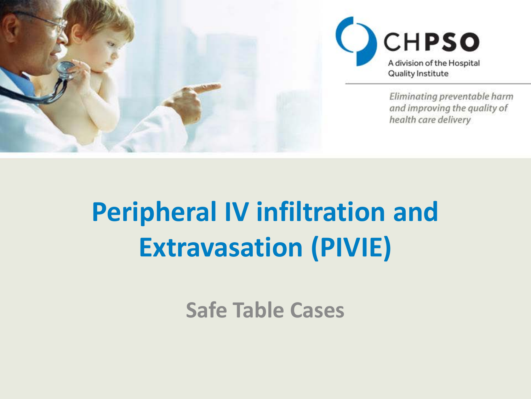



Eliminating preventable harm and improving the quality of health care delivery

### **Peripheral IV infiltration and Extravasation (PIVIE)**

**Safe Table Cases**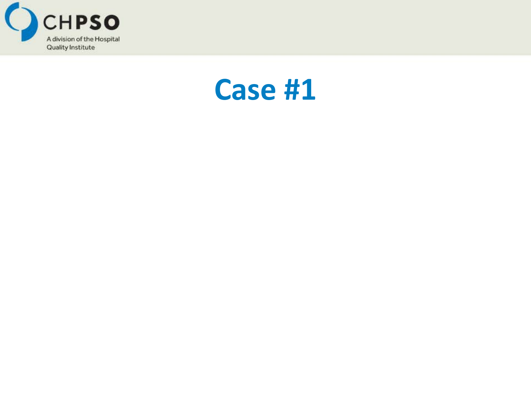

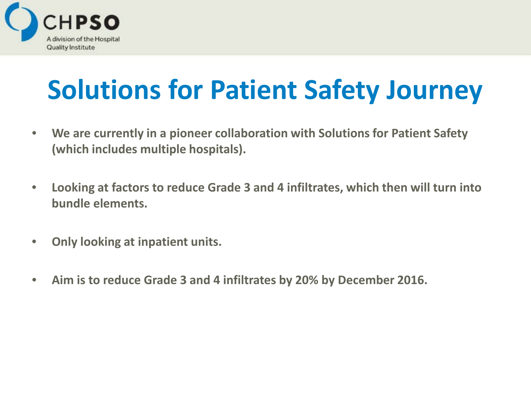

#### **Solutions for Patient Safety Journey**

- **We are currently in a pioneer collaboration with Solutions for Patient Safety (which includes multiple hospitals).**
- **Looking at factors to reduce Grade 3 and 4 infiltrates, which then will turn into bundle elements.**
- **Only looking at inpatient units.**
- **Aim is to reduce Grade 3 and 4 infiltrates by 20% by December 2016.**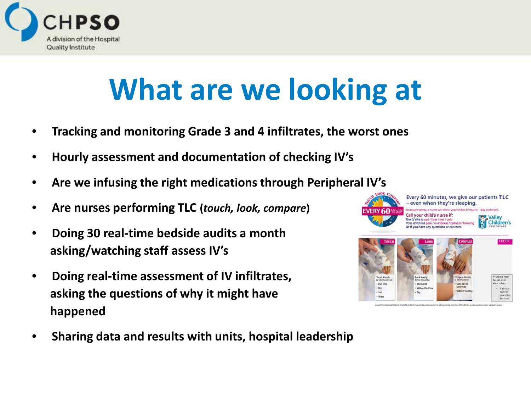

### **What are we looking at**

- **Tracking and monitoring Grade 3 and 4 infiltrates, the worst ones**
- **Hourly assessment and documentation of checking IV's**
- **Are we infusing the right medications through Peripheral IV's**
- **Are nurses performing TLC (***touch, look, compare***)**
- **Doing 30 real-time bedside audits a month asking/watching staff assess IV's**
- **Doing real-time assessment of IV infiltrates, asking the questions of why it might have happened**



• **Sharing data and results with units, hospital leadership**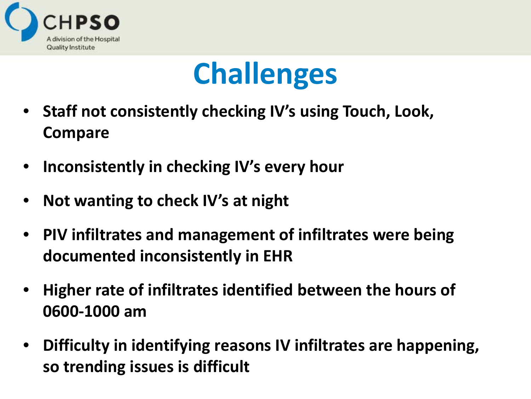



- **Staff not consistently checking IV's using Touch, Look, Compare**
- **Inconsistently in checking IV's every hour**
- **Not wanting to check IV's at night**
- **PIV infiltrates and management of infiltrates were being documented inconsistently in EHR**
- **Higher rate of infiltrates identified between the hours of 0600-1000 am**
- **Difficulty in identifying reasons IV infiltrates are happening, so trending issues is difficult**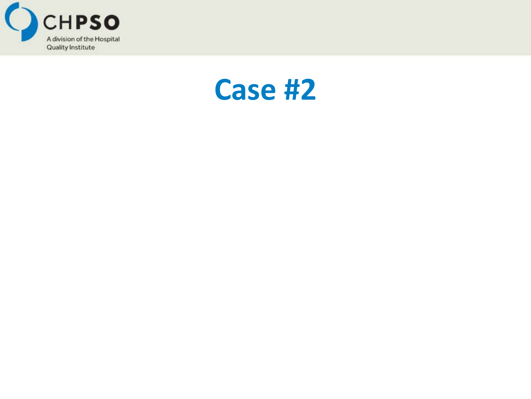

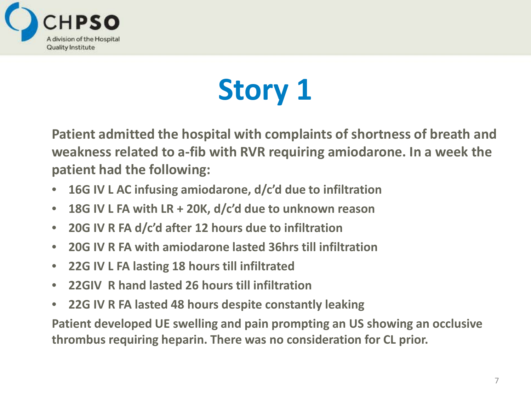

# **Story 1**

**Patient admitted the hospital with complaints of shortness of breath and weakness related to a-fib with RVR requiring amiodarone. In a week the patient had the following:**

- **16G IV L AC infusing amiodarone, d/c'd due to infiltration**
- **18G IV L FA with LR + 20K, d/c'd due to unknown reason**
- **20G IV R FA d/c'd after 12 hours due to infiltration**
- **20G IV R FA with amiodarone lasted 36hrs till infiltration**
- **22G IV L FA lasting 18 hours till infiltrated**
- **22GIV R hand lasted 26 hours till infiltration**
- **22G IV R FA lasted 48 hours despite constantly leaking**

**Patient developed UE swelling and pain prompting an US showing an occlusive thrombus requiring heparin. There was no consideration for CL prior.**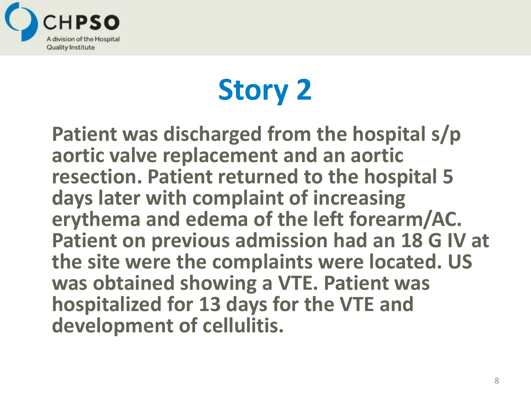

# **Story 2**

**Patient was discharged from the hospital s/p aortic valve replacement and an aortic resection. Patient returned to the hospital 5 days later with complaint of increasing erythema and edema of the left forearm/AC. Patient on previous admission had an 18 G IV at the site were the complaints were located. US was obtained showing a VTE. Patient was hospitalized for 13 days for the VTE and development of cellulitis.**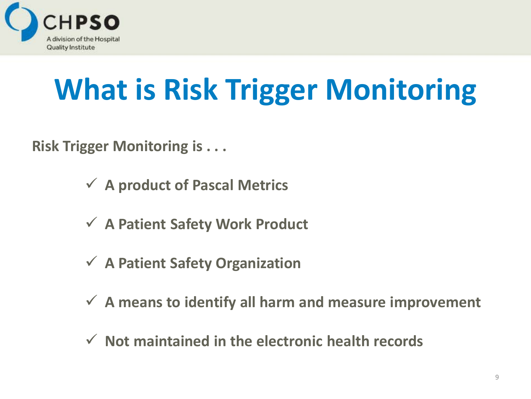

# **What is Risk Trigger Monitoring**

**Risk Trigger Monitoring is . . .**

- **A product of Pascal Metrics**
- **A Patient Safety Work Product**
- **A Patient Safety Organization**
- **A means to identify all harm and measure improvement**
- **Not maintained in the electronic health records**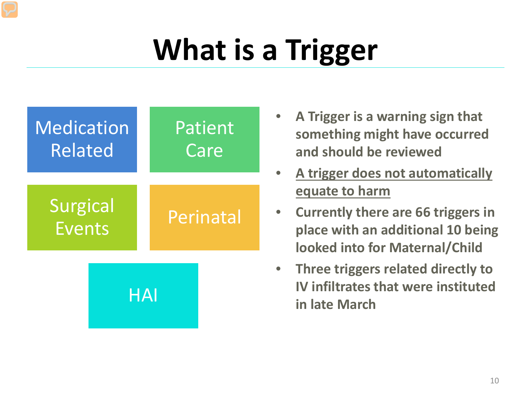## **What is a Trigger**



- **A Trigger is a warning sign that something might have occurred and should be reviewed**
- **A trigger does not automatically equate to harm**
- **Currently there are 66 triggers in place with an additional 10 being looked into for Maternal/Child**
- **Three triggers related directly to IV infiltrates that were instituted in late March**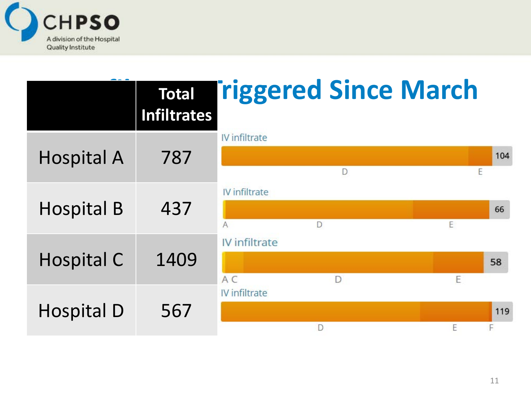

|                   | <b>Total</b><br>Infiltrates |                      | <b>Triggered Since March</b> |   |          |
|-------------------|-----------------------------|----------------------|------------------------------|---|----------|
| <b>Hospital A</b> | 787                         | <b>IV</b> infiltrate | D                            | E | 104      |
| <b>Hospital B</b> | 437                         | IV infiltrate<br>A   | D                            | E | 66       |
| <b>Hospital C</b> | 1409                        | IV infiltrate<br>A C | D                            | E | 58       |
| <b>Hospital D</b> | 567                         | IV infiltrate        |                              | E | 119<br>F |